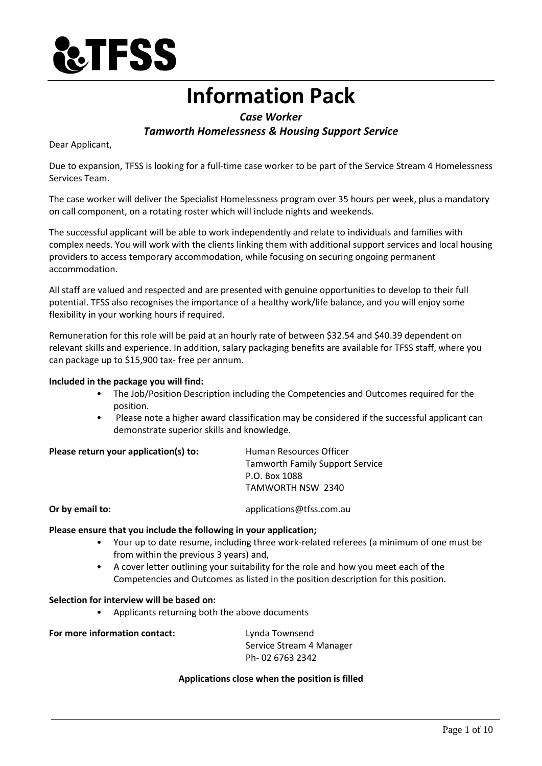

# **Information Pack**

# *Case Worker Tamworth Homelessness & Housing Support Service*

Dear Applicant,

Due to expansion, TFSS is looking for a full-time case worker to be part of the Service Stream 4 Homelessness Services Team.

The case worker will deliver the Specialist Homelessness program over 35 hours per week, plus a mandatory on call component, on a rotating roster which will include nights and weekends.

The successful applicant will be able to work independently and relate to individuals and families with complex needs. You will work with the clients linking them with additional support services and local housing providers to access temporary accommodation, while focusing on securing ongoing permanent accommodation.

All staff are valued and respected and are presented with genuine opportunities to develop to their full potential. TFSS also recognises the importance of a healthy work/life balance, and you will enjoy some flexibility in your working hours if required.

Remuneration for this role will be paid at an hourly rate of between \$32.54 and \$40.39 dependent on relevant skills and experience. In addition, salary packaging benefits are available for TFSS staff, where you can package up to \$15,900 tax- free per annum.

### **Included in the package you will find:**

- The Job/Position Description including the Competencies and Outcomes required for the position.
- Please note a higher award classification may be considered if the successful applicant can demonstrate superior skills and knowledge.

# **Please return your application(s) to:** Human Resources Officer

Tamworth Family Support Service P.O. Box 1088 TAMWORTH NSW 2340

**Or by email to:** applications@tfss.com.au

#### **Please ensure that you include the following in your application;**

- Your up to date resume, including three work-related referees (a minimum of one must be from within the previous 3 years) and,
- A cover letter outlining your suitability for the role and how you meet each of the Competencies and Outcomes as listed in the position description for this position.

#### **Selection for interview will be based on:**

• Applicants returning both the above documents

**For more information contact:** Lynda Townsend

Service Stream 4 Manager Ph- 02 6763 2342

#### **Applications close when the position is filled**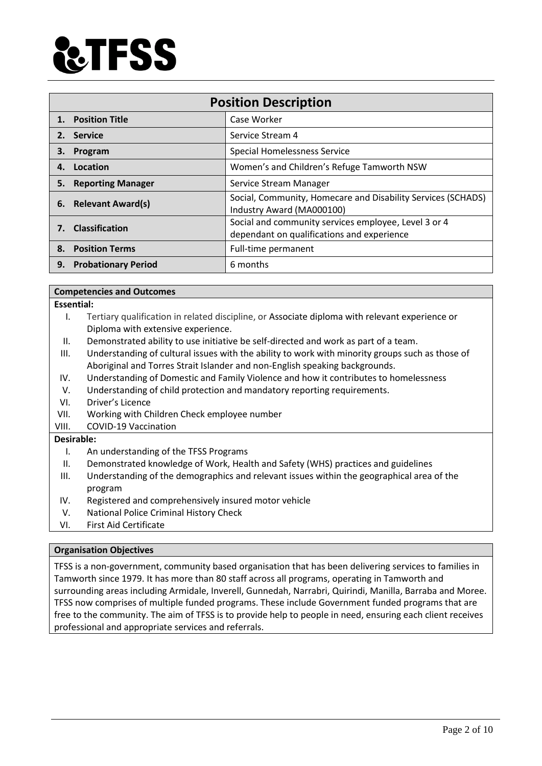

| <b>Position Description</b> |                            |                                                                                                    |  |
|-----------------------------|----------------------------|----------------------------------------------------------------------------------------------------|--|
|                             | 1. Position Title          | Case Worker                                                                                        |  |
|                             | 2. Service                 | Service Stream 4                                                                                   |  |
| З.                          | Program                    | <b>Special Homelessness Service</b>                                                                |  |
| 4.                          | Location                   | Women's and Children's Refuge Tamworth NSW                                                         |  |
| 5.                          | <b>Reporting Manager</b>   | Service Stream Manager                                                                             |  |
|                             | 6. Relevant Award(s)       | Social, Community, Homecare and Disability Services (SCHADS)<br>Industry Award (MA000100)          |  |
| 7.                          | <b>Classification</b>      | Social and community services employee, Level 3 or 4<br>dependant on qualifications and experience |  |
|                             | 8. Position Terms          | Full-time permanent                                                                                |  |
| 9.                          | <b>Probationary Period</b> | 6 months                                                                                           |  |

#### **Competencies and Outcomes**

#### **Essential:**

- I. Tertiary qualification in related discipline, or Associate diploma with relevant experience or Diploma with extensive experience.
- II. Demonstrated ability to use initiative be self-directed and work as part of a team.
- III. Understanding of cultural issues with the ability to work with minority groups such as those of Aboriginal and Torres Strait Islander and non-English speaking backgrounds.
- IV. Understanding of Domestic and Family Violence and how it contributes to homelessness
- V. Understanding of child protection and mandatory reporting requirements.
- VI. Driver's Licence
- VII. Working with Children Check employee number
- VIII. COVID-19 Vaccination

#### **Desirable:**

- I. An understanding of the TFSS Programs
- II. Demonstrated knowledge of Work, Health and Safety (WHS) practices and guidelines
- III. Understanding of the demographics and relevant issues within the geographical area of the program
- IV. Registered and comprehensively insured motor vehicle
- V. National Police Criminal History Check
- VI. First Aid Certificate

#### **Organisation Objectives**

TFSS is a non-government, community based organisation that has been delivering services to families in Tamworth since 1979. It has more than 80 staff across all programs, operating in Tamworth and surrounding areas including Armidale, Inverell, Gunnedah, Narrabri, Quirindi, Manilla, Barraba and Moree. TFSS now comprises of multiple funded programs. These include Government funded programs that are free to the community. The aim of TFSS is to provide help to people in need, ensuring each client receives professional and appropriate services and referrals.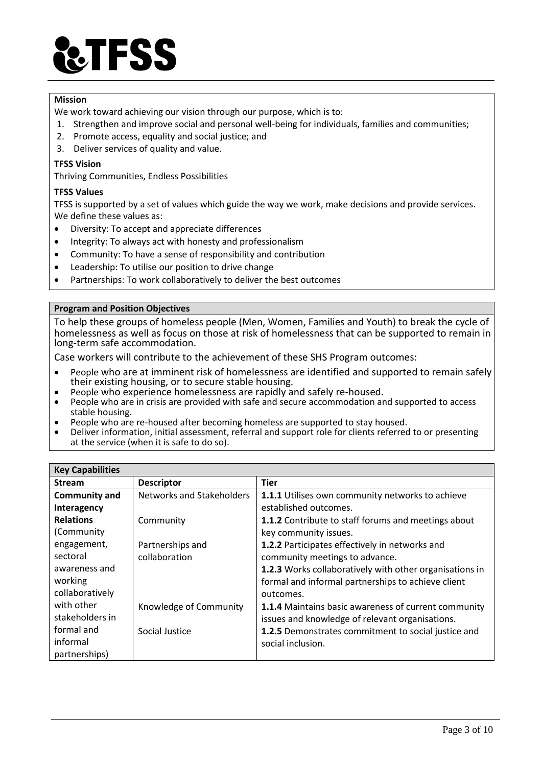

#### **Mission**

We work toward achieving our vision through our purpose, which is to:

- 1. Strengthen and improve social and personal well-being for individuals, families and communities;
- 2. Promote access, equality and social justice; and
- 3. Deliver services of quality and value.

#### **TFSS Vision**

Thriving Communities, Endless Possibilities

#### **TFSS Values**

TFSS is supported by a set of values which guide the way we work, make decisions and provide services. We define these values as:

- Diversity: To accept and appreciate differences
- Integrity: To always act with honesty and professionalism
- Community: To have a sense of responsibility and contribution
- Leadership: To utilise our position to drive change
- Partnerships: To work collaboratively to deliver the best outcomes

#### **Program and Position Objectives**

To help these groups of homeless people (Men, Women, Families and Youth) to break the cycle of homelessness as well as focus on those at risk of homelessness that can be supported to remain in long-term safe accommodation.

Case workers will contribute to the achievement of these SHS Program outcomes:

- People who are at imminent risk of homelessness are identified and supported to remain safely their existing housing, or to secure stable housing.
- People who experience homelessness are rapidly and safely re-housed.
- People who are in crisis are provided with safe and secure accommodation and supported to access stable housing.
- People who are re-housed after becoming homeless are supported to stay housed.<br>• Deliver information, initial assessment, referral and support role for clients referred
- Deliver information, initial assessment, referral and support role for clients referred to or presenting at the service (when it is safe to do so).

| <b>Key Capabilities</b> |                           |                                                         |  |
|-------------------------|---------------------------|---------------------------------------------------------|--|
| <b>Stream</b>           | <b>Descriptor</b>         | <b>Tier</b>                                             |  |
| <b>Community and</b>    | Networks and Stakeholders | 1.1.1 Utilises own community networks to achieve        |  |
| Interagency             |                           | established outcomes.                                   |  |
| <b>Relations</b>        | Community                 | 1.1.2 Contribute to staff forums and meetings about     |  |
| (Community              |                           | key community issues.                                   |  |
| engagement,             | Partnerships and          | 1.2.2 Participates effectively in networks and          |  |
| sectoral                | collaboration             | community meetings to advance.                          |  |
| awareness and           |                           | 1.2.3 Works collaboratively with other organisations in |  |
| working                 |                           | formal and informal partnerships to achieve client      |  |
| collaboratively         |                           | outcomes.                                               |  |
| with other              | Knowledge of Community    | 1.1.4 Maintains basic awareness of current community    |  |
| stakeholders in         |                           | issues and knowledge of relevant organisations.         |  |
| formal and              | Social Justice            | 1.2.5 Demonstrates commitment to social justice and     |  |
| informal                |                           | social inclusion.                                       |  |
| partnerships)           |                           |                                                         |  |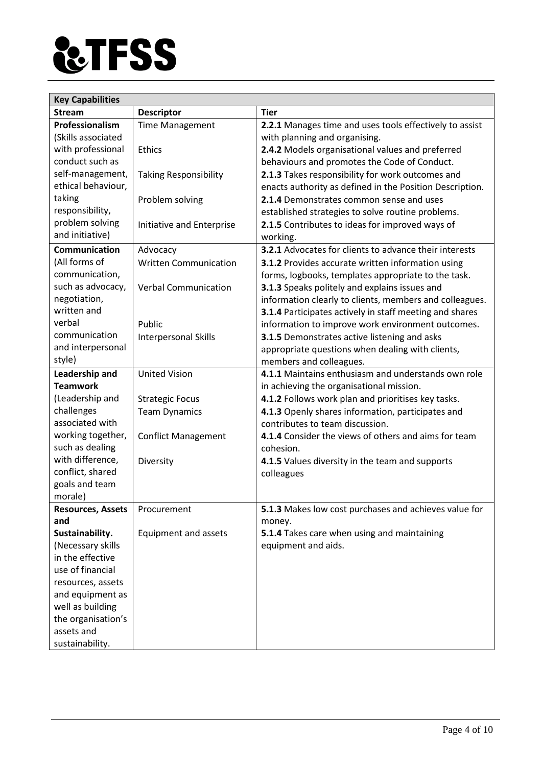

| <b>Key Capabilities</b>      |                              |                                                          |  |  |
|------------------------------|------------------------------|----------------------------------------------------------|--|--|
| <b>Stream</b>                | <b>Descriptor</b>            | <b>Tier</b>                                              |  |  |
| Professionalism              | <b>Time Management</b>       | 2.2.1 Manages time and uses tools effectively to assist  |  |  |
| (Skills associated           |                              | with planning and organising.                            |  |  |
| with professional            | <b>Ethics</b>                | 2.4.2 Models organisational values and preferred         |  |  |
| conduct such as              |                              | behaviours and promotes the Code of Conduct.             |  |  |
| self-management,             | <b>Taking Responsibility</b> | 2.1.3 Takes responsibility for work outcomes and         |  |  |
| ethical behaviour,           |                              | enacts authority as defined in the Position Description. |  |  |
| taking                       | Problem solving              | 2.1.4 Demonstrates common sense and uses                 |  |  |
| responsibility,              |                              | established strategies to solve routine problems.        |  |  |
| problem solving              | Initiative and Enterprise    | 2.1.5 Contributes to ideas for improved ways of          |  |  |
| and initiative)              |                              | working.                                                 |  |  |
| <b>Communication</b>         | Advocacy                     | 3.2.1 Advocates for clients to advance their interests   |  |  |
| (All forms of                | <b>Written Communication</b> | <b>3.1.2</b> Provides accurate written information using |  |  |
| communication,               |                              | forms, logbooks, templates appropriate to the task.      |  |  |
| such as advocacy,            | <b>Verbal Communication</b>  | 3.1.3 Speaks politely and explains issues and            |  |  |
| negotiation,                 |                              | information clearly to clients, members and colleagues.  |  |  |
| written and                  |                              | 3.1.4 Participates actively in staff meeting and shares  |  |  |
| verbal                       | Public                       | information to improve work environment outcomes.        |  |  |
| communication                | <b>Interpersonal Skills</b>  | 3.1.5 Demonstrates active listening and asks             |  |  |
| and interpersonal            |                              | appropriate questions when dealing with clients,         |  |  |
| style)                       |                              | members and colleagues.                                  |  |  |
| Leadership and               | <b>United Vision</b>         | 4.1.1 Maintains enthusiasm and understands own role      |  |  |
| <b>Teamwork</b>              |                              | in achieving the organisational mission.                 |  |  |
| (Leadership and              | <b>Strategic Focus</b>       | 4.1.2 Follows work plan and prioritises key tasks.       |  |  |
| challenges                   | <b>Team Dynamics</b>         | 4.1.3 Openly shares information, participates and        |  |  |
| associated with              |                              | contributes to team discussion.                          |  |  |
| working together,            | <b>Conflict Management</b>   | 4.1.4 Consider the views of others and aims for team     |  |  |
| such as dealing<br>cohesion. |                              |                                                          |  |  |
| with difference,             | Diversity                    | 4.1.5 Values diversity in the team and supports          |  |  |
| conflict, shared             |                              | colleagues                                               |  |  |
| goals and team               |                              |                                                          |  |  |
| morale)                      |                              |                                                          |  |  |
| <b>Resources, Assets</b>     | Procurement                  | 5.1.3 Makes low cost purchases and achieves value for    |  |  |
| and                          |                              | money.                                                   |  |  |
| Sustainability.              | Equipment and assets         | 5.1.4 Takes care when using and maintaining              |  |  |
| (Necessary skills            |                              | equipment and aids.                                      |  |  |
| in the effective             |                              |                                                          |  |  |
| use of financial             |                              |                                                          |  |  |
| resources, assets            |                              |                                                          |  |  |
| and equipment as             |                              |                                                          |  |  |
| well as building             |                              |                                                          |  |  |
| the organisation's           |                              |                                                          |  |  |
| assets and                   |                              |                                                          |  |  |
| sustainability.              |                              |                                                          |  |  |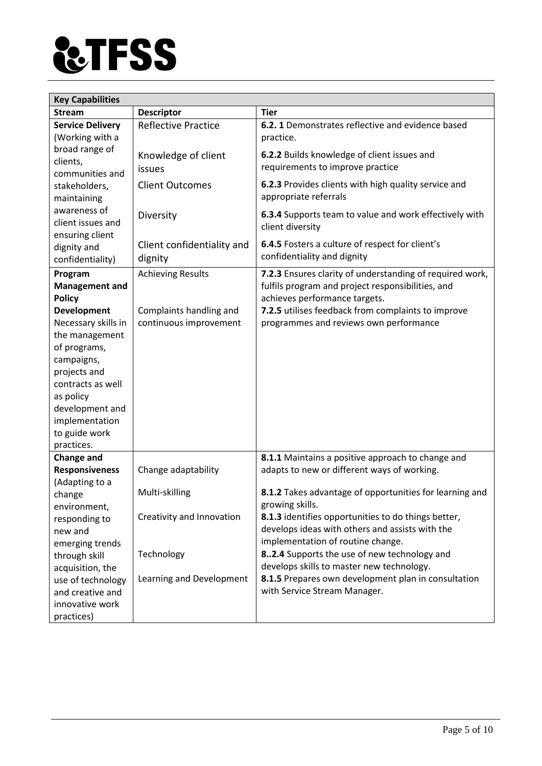

| <b>Key Capabilities</b>                    |                            |                                                                                                  |  |  |
|--------------------------------------------|----------------------------|--------------------------------------------------------------------------------------------------|--|--|
| <b>Stream</b>                              | <b>Descriptor</b>          | <b>Tier</b>                                                                                      |  |  |
| <b>Service Delivery</b>                    | <b>Reflective Practice</b> | 6.2.1 Demonstrates reflective and evidence based                                                 |  |  |
| (Working with a                            |                            | practice.                                                                                        |  |  |
| broad range of                             | Knowledge of client        | 6.2.2 Builds knowledge of client issues and                                                      |  |  |
| clients,                                   | issues                     | requirements to improve practice                                                                 |  |  |
| communities and                            |                            |                                                                                                  |  |  |
| stakeholders,                              | <b>Client Outcomes</b>     | 6.2.3 Provides clients with high quality service and<br>appropriate referrals                    |  |  |
| maintaining<br>awareness of                |                            |                                                                                                  |  |  |
| client issues and                          | Diversity                  | 6.3.4 Supports team to value and work effectively with                                           |  |  |
| ensuring client                            |                            | client diversity                                                                                 |  |  |
| dignity and                                | Client confidentiality and | 6.4.5 Fosters a culture of respect for client's                                                  |  |  |
| confidentiality)                           | dignity                    | confidentiality and dignity                                                                      |  |  |
| Program                                    | <b>Achieving Results</b>   | 7.2.3 Ensures clarity of understanding of required work,                                         |  |  |
| <b>Management and</b>                      |                            | fulfils program and project responsibilities, and                                                |  |  |
| <b>Policy</b>                              |                            | achieves performance targets.                                                                    |  |  |
| <b>Development</b>                         | Complaints handling and    | 7.2.5 utilises feedback from complaints to improve                                               |  |  |
| Necessary skills in                        | continuous improvement     | programmes and reviews own performance                                                           |  |  |
| the management                             |                            |                                                                                                  |  |  |
| of programs,                               |                            |                                                                                                  |  |  |
| campaigns,                                 |                            |                                                                                                  |  |  |
| projects and                               |                            |                                                                                                  |  |  |
| contracts as well                          |                            |                                                                                                  |  |  |
| as policy                                  |                            |                                                                                                  |  |  |
| development and                            |                            |                                                                                                  |  |  |
| implementation                             |                            |                                                                                                  |  |  |
| to guide work                              |                            |                                                                                                  |  |  |
| practices.                                 |                            |                                                                                                  |  |  |
| <b>Change and</b><br><b>Responsiveness</b> | Change adaptability        | 8.1.1 Maintains a positive approach to change and<br>adapts to new or different ways of working. |  |  |
| (Adapting to a                             |                            |                                                                                                  |  |  |
| change                                     | Multi-skilling             | 8.1.2 Takes advantage of opportunities for learning and                                          |  |  |
| environment,                               |                            | growing skills.                                                                                  |  |  |
| responding to                              | Creativity and Innovation  | 8.1.3 identifies opportunities to do things better,                                              |  |  |
| new and                                    |                            | develops ideas with others and assists with the                                                  |  |  |
| emerging trends                            |                            | implementation of routine change.                                                                |  |  |
| through skill                              | Technology                 | 82.4 Supports the use of new technology and                                                      |  |  |
| acquisition, the                           |                            | develops skills to master new technology.                                                        |  |  |
| use of technology                          | Learning and Development   | 8.1.5 Prepares own development plan in consultation                                              |  |  |
| and creative and                           |                            | with Service Stream Manager.                                                                     |  |  |
| innovative work                            |                            |                                                                                                  |  |  |
| practices)                                 |                            |                                                                                                  |  |  |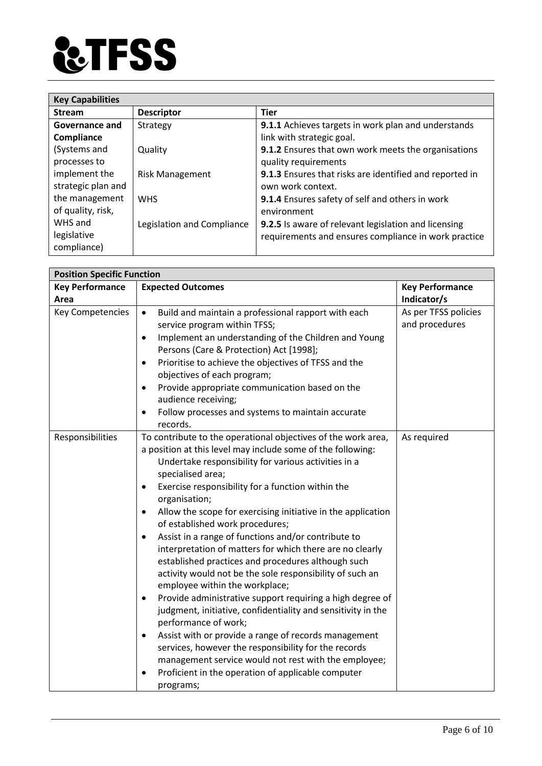

| <b>Key Capabilities</b> |                            |                                                         |  |
|-------------------------|----------------------------|---------------------------------------------------------|--|
| <b>Stream</b>           | <b>Descriptor</b>          | <b>Tier</b>                                             |  |
| Governance and          | Strategy                   | 9.1.1 Achieves targets in work plan and understands     |  |
| Compliance              |                            | link with strategic goal.                               |  |
| (Systems and            | Quality                    | 9.1.2 Ensures that own work meets the organisations     |  |
| processes to            |                            | quality requirements                                    |  |
| implement the           | <b>Risk Management</b>     | 9.1.3 Ensures that risks are identified and reported in |  |
| strategic plan and      |                            | own work context.                                       |  |
| the management          | <b>WHS</b>                 | 9.1.4 Ensures safety of self and others in work         |  |
| of quality, risk,       |                            | environment                                             |  |
| WHS and                 | Legislation and Compliance | 9.2.5 Is aware of relevant legislation and licensing    |  |
| legislative             |                            | requirements and ensures compliance in work practice    |  |
| compliance)             |                            |                                                         |  |

| <b>Position Specific Function</b> |                                                                           |                        |  |
|-----------------------------------|---------------------------------------------------------------------------|------------------------|--|
| <b>Key Performance</b>            | <b>Expected Outcomes</b>                                                  | <b>Key Performance</b> |  |
| Area                              |                                                                           | Indicator/s            |  |
| Key Competencies                  | Build and maintain a professional rapport with each<br>$\bullet$          | As per TFSS policies   |  |
|                                   | service program within TFSS;                                              | and procedures         |  |
|                                   | Implement an understanding of the Children and Young<br>$\bullet$         |                        |  |
|                                   | Persons (Care & Protection) Act [1998];                                   |                        |  |
|                                   | Prioritise to achieve the objectives of TFSS and the<br>$\bullet$         |                        |  |
|                                   | objectives of each program;                                               |                        |  |
|                                   | Provide appropriate communication based on the<br>$\bullet$               |                        |  |
|                                   | audience receiving;                                                       |                        |  |
|                                   | Follow processes and systems to maintain accurate<br>$\bullet$            |                        |  |
|                                   | records.                                                                  |                        |  |
| Responsibilities                  | To contribute to the operational objectives of the work area,             | As required            |  |
|                                   | a position at this level may include some of the following:               |                        |  |
|                                   | Undertake responsibility for various activities in a                      |                        |  |
|                                   | specialised area;                                                         |                        |  |
|                                   | Exercise responsibility for a function within the<br>٠                    |                        |  |
|                                   | organisation;                                                             |                        |  |
|                                   | Allow the scope for exercising initiative in the application<br>$\bullet$ |                        |  |
|                                   | of established work procedures;                                           |                        |  |
|                                   | Assist in a range of functions and/or contribute to<br>$\bullet$          |                        |  |
|                                   | interpretation of matters for which there are no clearly                  |                        |  |
|                                   | established practices and procedures although such                        |                        |  |
|                                   | activity would not be the sole responsibility of such an                  |                        |  |
|                                   | employee within the workplace;                                            |                        |  |
|                                   | Provide administrative support requiring a high degree of<br>$\bullet$    |                        |  |
|                                   | judgment, initiative, confidentiality and sensitivity in the              |                        |  |
|                                   | performance of work;                                                      |                        |  |
|                                   | Assist with or provide a range of records management<br>$\bullet$         |                        |  |
|                                   | services, however the responsibility for the records                      |                        |  |
|                                   | management service would not rest with the employee;                      |                        |  |
|                                   | Proficient in the operation of applicable computer                        |                        |  |
|                                   | programs;                                                                 |                        |  |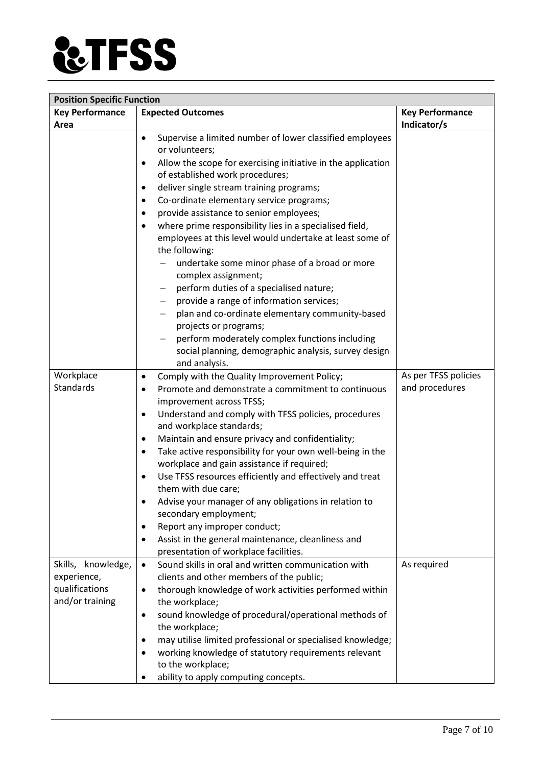

| <b>Position Specific Function</b> |                                                                                             |                        |  |  |
|-----------------------------------|---------------------------------------------------------------------------------------------|------------------------|--|--|
| <b>Key Performance</b>            | <b>Expected Outcomes</b>                                                                    | <b>Key Performance</b> |  |  |
| Area                              |                                                                                             | Indicator/s            |  |  |
|                                   | Supervise a limited number of lower classified employees<br>$\bullet$<br>or volunteers;     |                        |  |  |
|                                   | Allow the scope for exercising initiative in the application                                |                        |  |  |
|                                   | of established work procedures;                                                             |                        |  |  |
|                                   | deliver single stream training programs;<br>$\bullet$                                       |                        |  |  |
|                                   | Co-ordinate elementary service programs;<br>$\bullet$                                       |                        |  |  |
|                                   | provide assistance to senior employees;<br>$\bullet$                                        |                        |  |  |
|                                   | where prime responsibility lies in a specialised field,<br>$\bullet$                        |                        |  |  |
|                                   | employees at this level would undertake at least some of<br>the following:                  |                        |  |  |
|                                   | undertake some minor phase of a broad or more                                               |                        |  |  |
|                                   | complex assignment;                                                                         |                        |  |  |
|                                   | perform duties of a specialised nature;                                                     |                        |  |  |
|                                   | provide a range of information services;                                                    |                        |  |  |
|                                   | plan and co-ordinate elementary community-based                                             |                        |  |  |
|                                   | projects or programs;                                                                       |                        |  |  |
|                                   | perform moderately complex functions including                                              |                        |  |  |
|                                   | social planning, demographic analysis, survey design                                        |                        |  |  |
|                                   | and analysis.                                                                               |                        |  |  |
| Workplace                         | Comply with the Quality Improvement Policy;<br>$\bullet$                                    | As per TFSS policies   |  |  |
| Standards                         | Promote and demonstrate a commitment to continuous<br>$\bullet$                             | and procedures         |  |  |
|                                   | improvement across TFSS;                                                                    |                        |  |  |
|                                   | Understand and comply with TFSS policies, procedures<br>$\bullet$                           |                        |  |  |
|                                   | and workplace standards;                                                                    |                        |  |  |
|                                   | Maintain and ensure privacy and confidentiality;<br>$\bullet$                               |                        |  |  |
|                                   | Take active responsibility for your own well-being in the<br>$\bullet$                      |                        |  |  |
|                                   | workplace and gain assistance if required;                                                  |                        |  |  |
|                                   | Use TFSS resources efficiently and effectively and treat<br>$\bullet$                       |                        |  |  |
|                                   | them with due care;                                                                         |                        |  |  |
|                                   | Advise your manager of any obligations in relation to                                       |                        |  |  |
|                                   | secondary employment;                                                                       |                        |  |  |
|                                   | Report any improper conduct;<br>٠                                                           |                        |  |  |
|                                   | Assist in the general maintenance, cleanliness and<br>presentation of workplace facilities. |                        |  |  |
| Skills, knowledge,                | Sound skills in oral and written communication with<br>$\bullet$                            | As required            |  |  |
| experience,                       | clients and other members of the public;                                                    |                        |  |  |
| qualifications                    | thorough knowledge of work activities performed within<br>$\bullet$                         |                        |  |  |
| and/or training                   | the workplace;                                                                              |                        |  |  |
|                                   | sound knowledge of procedural/operational methods of<br>٠                                   |                        |  |  |
|                                   | the workplace;                                                                              |                        |  |  |
|                                   | may utilise limited professional or specialised knowledge;                                  |                        |  |  |
|                                   | working knowledge of statutory requirements relevant                                        |                        |  |  |
|                                   | to the workplace;                                                                           |                        |  |  |
|                                   | ability to apply computing concepts.                                                        |                        |  |  |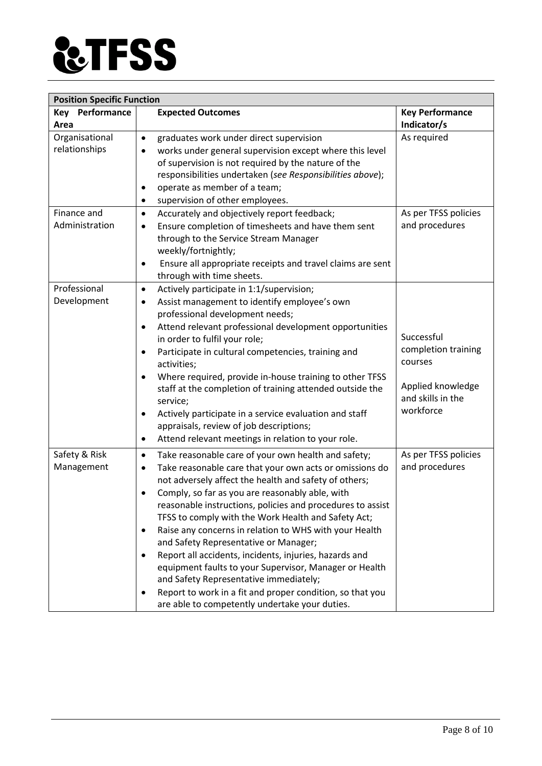

| <b>Position Specific Function</b> |                                                                                                                                                                                                                                                                                                                                                                                                                                                                                                                                                                                                                                                                                                                                                                                     |                                                                                                     |  |  |
|-----------------------------------|-------------------------------------------------------------------------------------------------------------------------------------------------------------------------------------------------------------------------------------------------------------------------------------------------------------------------------------------------------------------------------------------------------------------------------------------------------------------------------------------------------------------------------------------------------------------------------------------------------------------------------------------------------------------------------------------------------------------------------------------------------------------------------------|-----------------------------------------------------------------------------------------------------|--|--|
| Key Performance<br>Area           | <b>Expected Outcomes</b>                                                                                                                                                                                                                                                                                                                                                                                                                                                                                                                                                                                                                                                                                                                                                            | <b>Key Performance</b><br>Indicator/s                                                               |  |  |
| Organisational<br>relationships   | graduates work under direct supervision<br>$\bullet$<br>works under general supervision except where this level<br>$\bullet$<br>of supervision is not required by the nature of the<br>responsibilities undertaken (see Responsibilities above);<br>operate as member of a team;<br>$\bullet$<br>supervision of other employees.<br>$\bullet$                                                                                                                                                                                                                                                                                                                                                                                                                                       | As required                                                                                         |  |  |
| Finance and<br>Administration     | Accurately and objectively report feedback;<br>$\bullet$<br>Ensure completion of timesheets and have them sent<br>$\bullet$<br>through to the Service Stream Manager<br>weekly/fortnightly;<br>Ensure all appropriate receipts and travel claims are sent<br>$\bullet$<br>through with time sheets.                                                                                                                                                                                                                                                                                                                                                                                                                                                                                 | As per TFSS policies<br>and procedures                                                              |  |  |
| Professional<br>Development       | Actively participate in 1:1/supervision;<br>$\bullet$<br>Assist management to identify employee's own<br>$\bullet$<br>professional development needs;<br>Attend relevant professional development opportunities<br>$\bullet$<br>in order to fulfil your role;<br>Participate in cultural competencies, training and<br>$\bullet$<br>activities;<br>Where required, provide in-house training to other TFSS<br>$\bullet$<br>staff at the completion of training attended outside the<br>service;<br>Actively participate in a service evaluation and staff<br>$\bullet$<br>appraisals, review of job descriptions;<br>Attend relevant meetings in relation to your role.<br>$\bullet$                                                                                                | Successful<br>completion training<br>courses<br>Applied knowledge<br>and skills in the<br>workforce |  |  |
| Safety & Risk<br>Management       | Take reasonable care of your own health and safety;<br>$\bullet$<br>Take reasonable care that your own acts or omissions do<br>$\bullet$<br>not adversely affect the health and safety of others;<br>Comply, so far as you are reasonably able, with<br>$\bullet$<br>reasonable instructions, policies and procedures to assist<br>TFSS to comply with the Work Health and Safety Act;<br>Raise any concerns in relation to WHS with your Health<br>$\bullet$<br>and Safety Representative or Manager;<br>Report all accidents, incidents, injuries, hazards and<br>equipment faults to your Supervisor, Manager or Health<br>and Safety Representative immediately;<br>Report to work in a fit and proper condition, so that you<br>are able to competently undertake your duties. | As per TFSS policies<br>and procedures                                                              |  |  |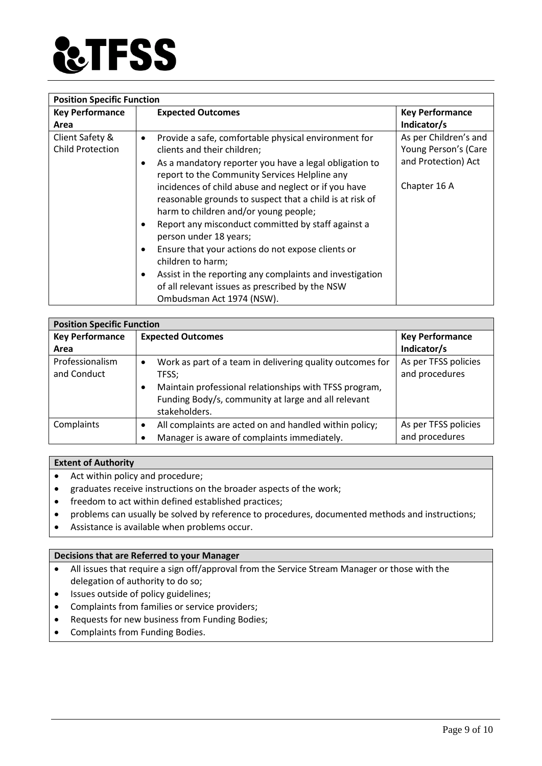

| <b>Position Specific Function</b> |                                                                                                                                                           |                        |  |
|-----------------------------------|-----------------------------------------------------------------------------------------------------------------------------------------------------------|------------------------|--|
| <b>Key Performance</b>            | <b>Expected Outcomes</b>                                                                                                                                  | <b>Key Performance</b> |  |
| Area                              |                                                                                                                                                           | Indicator/s            |  |
| Client Safety &                   | Provide a safe, comfortable physical environment for<br>$\bullet$                                                                                         | As per Children's and  |  |
| <b>Child Protection</b>           | clients and their children;                                                                                                                               | Young Person's (Care   |  |
|                                   | As a mandatory reporter you have a legal obligation to<br>report to the Community Services Helpline any                                                   | and Protection) Act    |  |
|                                   | incidences of child abuse and neglect or if you have<br>reasonable grounds to suspect that a child is at risk of<br>harm to children and/or young people; | Chapter 16 A           |  |
|                                   | Report any misconduct committed by staff against a<br>person under 18 years;                                                                              |                        |  |
|                                   | Ensure that your actions do not expose clients or<br>children to harm;                                                                                    |                        |  |
|                                   | Assist in the reporting any complaints and investigation<br>of all relevant issues as prescribed by the NSW<br>Ombudsman Act 1974 (NSW).                  |                        |  |

| <b>Position Specific Function</b> |                                                                                                                                                                                                  |                                        |  |
|-----------------------------------|--------------------------------------------------------------------------------------------------------------------------------------------------------------------------------------------------|----------------------------------------|--|
| <b>Key Performance</b>            | <b>Expected Outcomes</b>                                                                                                                                                                         | <b>Key Performance</b>                 |  |
| Area                              |                                                                                                                                                                                                  | Indicator/s                            |  |
| Professionalism<br>and Conduct    | Work as part of a team in delivering quality outcomes for<br>$\bullet$<br>TFSS;<br>Maintain professional relationships with TFSS program,<br>Funding Body/s, community at large and all relevant | As per TFSS policies<br>and procedures |  |
|                                   | stakeholders.                                                                                                                                                                                    |                                        |  |
| Complaints                        | All complaints are acted on and handled within policy;                                                                                                                                           | As per TFSS policies                   |  |
|                                   | Manager is aware of complaints immediately.                                                                                                                                                      | and procedures                         |  |

#### **Extent of Authority**

- Act within policy and procedure;
- graduates receive instructions on the broader aspects of the work;
- freedom to act within defined established practices;
- problems can usually be solved by reference to procedures, documented methods and instructions;
- Assistance is available when problems occur.

#### **Decisions that are Referred to your Manager**

- All issues that require a sign off/approval from the Service Stream Manager or those with the delegation of authority to do so;
- Issues outside of policy guidelines;
- Complaints from families or service providers;
- Requests for new business from Funding Bodies;
- Complaints from Funding Bodies.